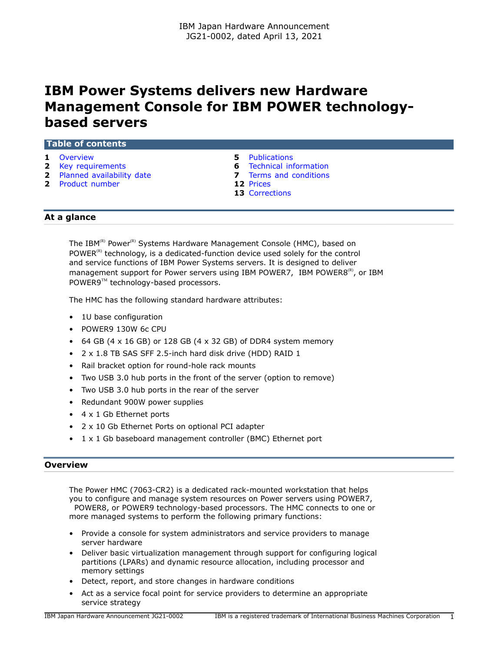# **IBM Power Systems delivers new Hardware Management Console for IBM POWER technologybased servers**

#### **Table of contents**

- 
- **2** [Key requirements](#page-1-0) **6** [Technical information](#page-5-0)
- **2** [Planned availability date](#page-1-1) **7** [Terms and conditions](#page-6-0)
- **2** [Product number](#page-1-2) **12** [Prices](#page-11-0)
- **1** [Overview](#page-0-0) **5** [Publications](#page-4-0)
	-
	-
	- **13** [Corrections](#page-12-0)

## **At a glance**

The IBM<sup>(R)</sup> Power<sup>(R)</sup> Systems Hardware Management Console (HMC), based on POWER $<sup>(R)</sup>$  technology, is a dedicated-function device used solely for the control</sup> and service functions of IBM Power Systems servers. It is designed to deliver management support for Power servers using IBM POWER7, IBM POWER8 $^{(R)}$ , or IBM POWER9™ technology-based processors.

The HMC has the following standard hardware attributes:

- 1U base configuration
- POWER9 130W 6c CPU
- 64 GB (4  $\times$  16 GB) or 128 GB (4  $\times$  32 GB) of DDR4 system memory
- 2 x 1.8 TB SAS SFF 2.5-inch hard disk drive (HDD) RAID 1
- Rail bracket option for round-hole rack mounts
- Two USB 3.0 hub ports in the front of the server (option to remove)
- Two USB 3.0 hub ports in the rear of the server
- Redundant 900W power supplies
- 4 x 1 Gb Ethernet ports
- 2 x 10 Gb Ethernet Ports on optional PCI adapter
- 1 x 1 Gb baseboard management controller (BMC) Ethernet port

#### <span id="page-0-0"></span>**Overview**

The Power HMC (7063-CR2) is a dedicated rack-mounted workstation that helps you to configure and manage system resources on Power servers using POWER7, POWER8, or POWER9 technology-based processors. The HMC connects to one or more managed systems to perform the following primary functions:

- Provide a console for system administrators and service providers to manage server hardware
- Deliver basic virtualization management through support for configuring logical partitions (LPARs) and dynamic resource allocation, including processor and memory settings
- Detect, report, and store changes in hardware conditions
- Act as a service focal point for service providers to determine an appropriate service strategy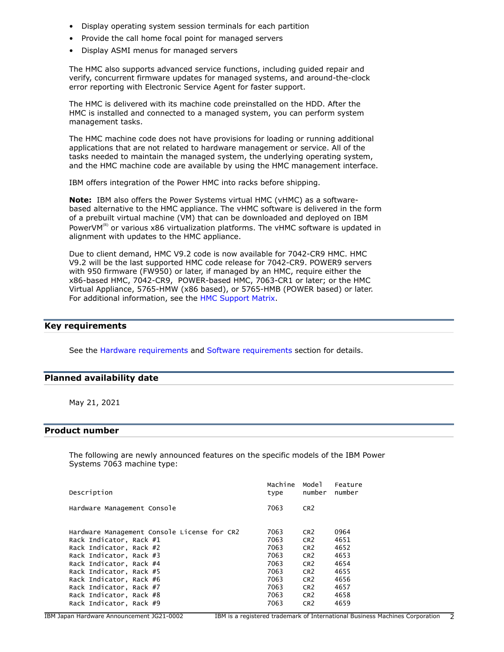- Display operating system session terminals for each partition
- Provide the call home focal point for managed servers
- Display ASMI menus for managed servers

The HMC also supports advanced service functions, including guided repair and verify, concurrent firmware updates for managed systems, and around-the-clock error reporting with Electronic Service Agent for faster support.

The HMC is delivered with its machine code preinstalled on the HDD. After the HMC is installed and connected to a managed system, you can perform system management tasks.

The HMC machine code does not have provisions for loading or running additional applications that are not related to hardware management or service. All of the tasks needed to maintain the managed system, the underlying operating system, and the HMC machine code are available by using the HMC management interface.

IBM offers integration of the Power HMC into racks before shipping.

**Note:** IBM also offers the Power Systems virtual HMC (vHMC) as a softwarebased alternative to the HMC appliance. The vHMC software is delivered in the form of a prebuilt virtual machine (VM) that can be downloaded and deployed on IBM PowerVM<sup>(R)</sup> or various x86 virtualization platforms. The vHMC software is updated in alignment with updates to the HMC appliance.

Due to client demand, HMC V9.2 code is now available for 7042-CR9 HMC. HMC V9.2 will be the last supported HMC code release for 7042-CR9. POWER9 servers with 950 firmware (FW950) or later, if managed by an HMC, require either the x86-based HMC, 7042-CR9, POWER-based HMC, 7063-CR1 or later; or the HMC Virtual Appliance, 5765-HMW (x86 based), or 5765-HMB (POWER based) or later. For additional information, see the [HMC Support Matrix](https://www14.software.ibm.com/webapp/set2/flrt/sas?page=mtm-supported-hmc).

# <span id="page-1-0"></span>**Key requirements**

See the [Hardware requirements](#page-5-1) and [Software requirements](#page-5-2) section for details.

#### <span id="page-1-1"></span>**Planned availability date**

May 21, 2021

# <span id="page-1-2"></span>**Product number**

The following are newly announced features on the specific models of the IBM Power Systems 7063 machine type:

| Description                                 | Machine | Model           | Feature |
|---------------------------------------------|---------|-----------------|---------|
|                                             | type    | number          | number  |
| Hardware Management Console                 | 7063    | CR <sub>2</sub> |         |
| Hardware Management Console License for CR2 | 7063    | CR <sub>2</sub> | 0964    |
| Rack Indicator, Rack #1                     | 7063    | CR <sub>2</sub> | 4651    |
| Rack Indicator, Rack #2                     | 7063    | CR <sub>2</sub> | 4652    |
| Rack Indicator, Rack #3                     | 7063    | CR <sub>2</sub> | 4653    |
| Rack Indicator, Rack #4                     | 7063    | CR <sub>2</sub> | 4654    |
| Rack Indicator, Rack #5                     | 7063    | CR <sub>2</sub> | 4655    |
| Rack Indicator, Rack #6                     | 7063    | CR <sub>2</sub> | 4656    |
| Rack Indicator, Rack #7                     | 7063    | CR <sub>2</sub> | 4657    |
| Rack Indicator, Rack #8                     | 7063    | CR <sub>2</sub> | 4658    |
| Rack Indicator, Rack #9                     | 7063    | CR <sub>2</sub> | 4659    |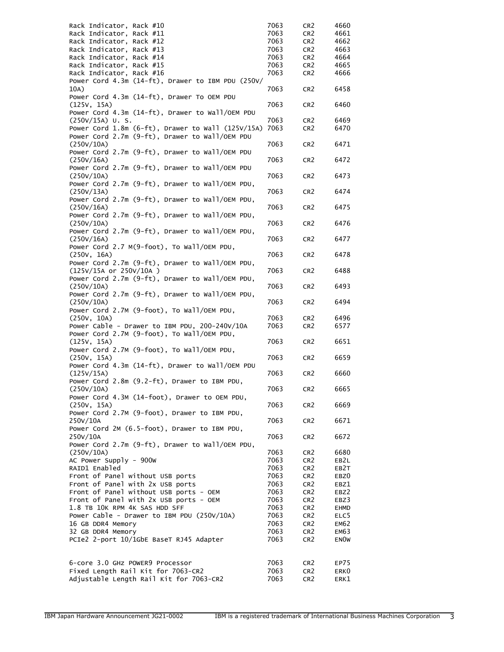| Rack Indicator, Rack #10                                  | 7063 | CR <sub>2</sub> | 4660        |
|-----------------------------------------------------------|------|-----------------|-------------|
| Rack Indicator, Rack #11                                  | 7063 | CR <sub>2</sub> | 4661        |
| Rack Indicator, Rack #12                                  | 7063 | CR <sub>2</sub> | 4662        |
| Rack Indicator, Rack #13                                  | 7063 | CR <sub>2</sub> | 4663        |
| Rack Indicator, Rack #14                                  | 7063 | CR <sub>2</sub> | 4664        |
| Rack Indicator, Rack #15                                  | 7063 | CR <sub>2</sub> | 4665        |
| Rack Indicator, Rack #16                                  | 7063 | CR <sub>2</sub> | 4666        |
| Power Cord 4.3m (14-ft), Drawer to IBM PDU (250V/         |      |                 |             |
| 10A)                                                      | 7063 | CR <sub>2</sub> | 6458        |
| Power Cord 4.3m (14-ft), Drawer To OEM PDU                |      |                 |             |
| (125V, 15A)                                               | 7063 | CR <sub>2</sub> | 6460        |
| Power Cord 4.3m (14-ft), Drawer to Wall/OEM PDU           |      |                 |             |
| $(250V/15A)$ U.S.                                         | 7063 | CR <sub>2</sub> | 6469        |
| Power Cord $1.8m$ (6-ft), Drawer to Wall (125V/15A)       | 7063 | CR <sub>2</sub> | 6470        |
| Power Cord 2.7m (9-ft), Drawer to Wall/OEM PDU            |      |                 |             |
| (250V/10A)                                                | 7063 | CR <sub>2</sub> | 6471        |
| Power Cord 2.7m (9-ft), Drawer to Wall/OEM PDU            |      |                 |             |
| (250V/16A)                                                | 7063 | CR <sub>2</sub> | 6472        |
| Power Cord 2.7m (9-ft), Drawer to Wall/OEM PDU            |      |                 |             |
| (250V/10A)                                                | 7063 | CR <sub>2</sub> | 6473        |
| Power Cord 2.7m (9-ft), Drawer to Wall/OEM PDU,           |      |                 |             |
| (250V/13A)                                                | 7063 | CR <sub>2</sub> | 6474        |
| Power Cord 2.7m (9-ft), Drawer to Wall/OEM PDU,           |      |                 |             |
| (250V/16A)                                                | 7063 | CR <sub>2</sub> | 6475        |
| Power Cord 2.7m (9-ft), Drawer to Wall/OEM PDU,           |      |                 |             |
| (250V/10A)                                                | 7063 | CR <sub>2</sub> | 6476        |
| Power Cord 2.7m (9-ft), Drawer to Wall/OEM PDU,           |      |                 |             |
| (250V/16A)                                                | 7063 | CR <sub>2</sub> | 6477        |
| Power Cord 2.7 M(9-foot), To Wall/OEM PDU,                |      |                 |             |
| (250V, 16A)                                               | 7063 | CR <sub>2</sub> | 6478        |
| Power Cord 2.7m (9-ft), Drawer to Wall/OEM PDU,           |      |                 |             |
| (125V/15A or 250V/10A )                                   | 7063 | CR <sub>2</sub> | 6488        |
| Power Cord 2.7m (9-ft), Drawer to Wall/OEM PDU,           |      |                 |             |
| (250V/10A)                                                | 7063 | CR <sub>2</sub> | 6493        |
| Power Cord 2.7m (9-ft), Drawer to Wall/OEM PDU,           |      |                 |             |
| (250V/10A)                                                | 7063 | CR <sub>2</sub> | 6494        |
| Power Cord 2.7M (9-foot), To Wall/OEM PDU,                |      |                 |             |
| (250V, 10A)                                               | 7063 | CR <sub>2</sub> | 6496        |
| Power Cable - Drawer to IBM PDU, 200-240V/10A             | 7063 | CR <sub>2</sub> | 6577        |
| Power Cord 2.7M (9-foot), To Wall/OEM PDU,                |      |                 |             |
| (125V, 15A)                                               | 7063 | CR <sub>2</sub> | 6651        |
| Power Cord 2.7M (9-foot), To Wall/OEM PDU,<br>(250v, 15A) | 7063 | CR <sub>2</sub> | 6659        |
| Power Cord 4.3m (14-ft), Drawer to Wall/OEM PDU           |      |                 |             |
| (125V/15A)                                                | 7063 | CR <sub>2</sub> | 6660        |
| Power Cord 2.8m (9.2-ft), Drawer to IBM PDU,              |      |                 |             |
| (250V/10A)                                                | 7063 | CR <sub>2</sub> | 6665        |
| Power Cord 4.3M (14-foot), Drawer to OEM PDU,             |      |                 |             |
| (250V, 15A)                                               | 7063 | CR <sub>2</sub> | 6669        |
| Power Cord 2.7M (9-foot), Drawer to IBM PDU,              |      |                 |             |
| 250V/10A                                                  | 7063 | CR <sub>2</sub> | 6671        |
| Power Cord 2M (6.5-foot), Drawer to IBM PDU,              |      |                 |             |
| 250V/10A                                                  | 7063 | CR <sub>2</sub> | 6672        |
| Power Cord 2.7m (9-ft), Drawer to Wall/OEM PDU,           |      |                 |             |
| (250V/10A)                                                | 7063 | CR <sub>2</sub> | 6680        |
| AC Power Supply - 900W                                    | 7063 | CR <sub>2</sub> | EB2L        |
| RAID1 Enabled                                             | 7063 | CR <sub>2</sub> | EB2T        |
| Front of Panel without USB ports                          | 7063 | CR <sub>2</sub> | EBZ0        |
| Front of Panel with 2x USB ports                          | 7063 | CR <sub>2</sub> | EBZ1        |
| Front of Panel without USB ports - OEM                    | 7063 | CR <sub>2</sub> | EBZ2        |
| Front of Panel with 2x USB ports - OEM                    | 7063 | CR <sub>2</sub> | EBZ3        |
| 1.8 TB 10K RPM 4K SAS HDD SFF                             | 7063 | CR <sub>2</sub> | EHMD        |
| Power Cable - Drawer to IBM PDU (250V/10A)                | 7063 | CR <sub>2</sub> | ELC5        |
| 16 GB DDR4 Memory                                         | 7063 | CR <sub>2</sub> | EM62        |
| 32 GB DDR4 Memory                                         | 7063 | CR <sub>2</sub> | EM63        |
| PCIe2 2-port 10/1GbE BaseT RJ45 Adapter                   | 7063 | CR <sub>2</sub> | <b>ENOW</b> |
|                                                           |      |                 |             |
|                                                           |      |                 |             |
| 6-core 3.0 GHz POWER9 Processor                           | 7063 | CR <sub>2</sub> | EP75        |
| Fixed Length Rail Kit for 7063-CR2                        | 7063 | CR <sub>2</sub> | ERK0        |
| Adjustable Length Rail Kit for 7063-CR2                   | 7063 | CR <sub>2</sub> | ERK1        |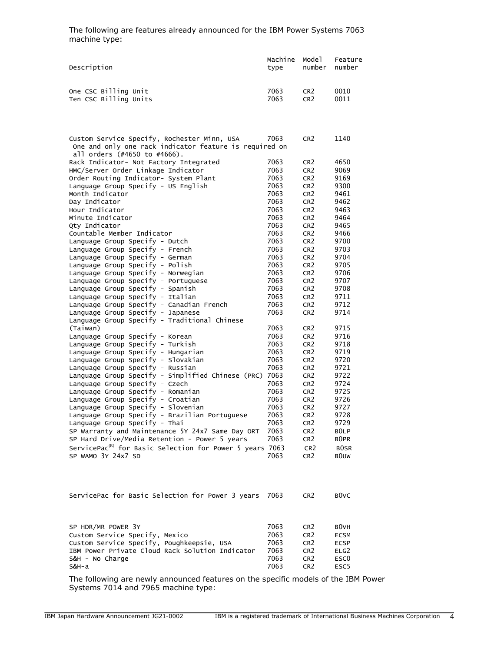The following are features already announced for the IBM Power Systems 7063 machine type:

| Description           | Machine | Model           | Feature |
|-----------------------|---------|-----------------|---------|
|                       | tvpe    | number          | number  |
| One CSC Billing Unit  | 7063    | CR <sub>2</sub> | 0010    |
| Ten CSC Billing Units | 7063    | CR <sub>2</sub> | 0011    |

| Custom Service Specify, Rochester Minn, USA                                      | 7063 | CR <sub>2</sub> | 1140              |
|----------------------------------------------------------------------------------|------|-----------------|-------------------|
| One and only one rack indicator feature is required on                           |      |                 |                   |
| all orders (#4650 to #4666).                                                     |      |                 |                   |
| Rack Indicator- Not Factory Integrated                                           | 7063 | CR <sub>2</sub> | 4650              |
| HMC/Server Order Linkage Indicator                                               | 7063 | CR <sub>2</sub> | 9069              |
| Order Routing Indicator- System Plant                                            | 7063 | CR <sub>2</sub> | 9169              |
| Language Group Specify - US English                                              | 7063 | CR <sub>2</sub> | 9300              |
| Month Indicator                                                                  | 7063 | CR <sub>2</sub> | 9461              |
| Day Indicator                                                                    | 7063 | CR <sub>2</sub> | 9462              |
| Hour Indicator                                                                   | 7063 | CR <sub>2</sub> | 9463              |
| Minute Indicator                                                                 | 7063 | CR <sub>2</sub> | 9464              |
| Qty Indicator                                                                    | 7063 | CR <sub>2</sub> | 9465              |
| Countable Member Indicator                                                       | 7063 | CR <sub>2</sub> | 9466              |
| Language Group Specify - Dutch                                                   | 7063 | CR <sub>2</sub> | 9700              |
| Language Group Specify - French                                                  | 7063 | CR <sub>2</sub> | 9703              |
| Language Group Specify - German                                                  | 7063 | CR <sub>2</sub> | 9704              |
| Language Group Specify - Polish                                                  | 7063 | CR <sub>2</sub> | 9705              |
| Language Group Specify - Norwegian                                               | 7063 | CR <sub>2</sub> | 9706              |
| Language Group Specify - Portuguese                                              | 7063 | CR <sub>2</sub> | 9707              |
| Language Group Specify - Spanish                                                 | 7063 | CR <sub>2</sub> | 9708              |
| Language Group Specify - Italian                                                 | 7063 | CR <sub>2</sub> | 9711              |
| Language Group Specify - Canadian French                                         | 7063 | CR <sub>2</sub> | 9712              |
| Language Group Specify - Japanese                                                | 7063 | CR <sub>2</sub> | 9714              |
| Language Group Specify - Traditional Chinese                                     |      |                 |                   |
| (Taiwan)                                                                         | 7063 | CR <sub>2</sub> | 9715              |
| Language Group Specify - Korean                                                  | 7063 | CR <sub>2</sub> | 9716              |
| Language Group Specify - Turkish                                                 | 7063 | CR <sub>2</sub> | 9718              |
| Language Group Specify - Hungarian                                               | 7063 | CR <sub>2</sub> | 9719              |
| Language Group Specify - Slovakian                                               | 7063 | CR <sub>2</sub> | 9720              |
| Language Group Specify - Russian                                                 | 7063 | CR <sub>2</sub> | 9721              |
| Language Group Specify - Simplified Chinese (PRC)                                | 7063 | CR <sub>2</sub> | 9722              |
| Language Group Specify - Czech                                                   | 7063 | CR <sub>2</sub> | 9724              |
| Language Group Specify - Romanian                                                | 7063 | CR <sub>2</sub> | 9725              |
| Language Group Specify - Croatian                                                | 7063 | CR <sub>2</sub> | 9726              |
| Language Group Specify - Slovenian                                               | 7063 | CR <sub>2</sub> | 9727              |
| Language Group Specify - Brazilian Portuguese                                    | 7063 | CR <sub>2</sub> | 9728              |
| Language Group Specify - Thai                                                    | 7063 | CR <sub>2</sub> | 9729              |
| SP Warranty and Maintenance 5Y 24x7 Same Day ORT                                 | 7063 | CR <sub>2</sub> | B <sub>OLP</sub>  |
| SP Hard Drive/Media Retention - Power 5 years                                    | 7063 | CR <sub>2</sub> | B <sub>0</sub> PR |
| ServicePac ${}^{\textrm{\tiny{(R)}}}$ for Basic Selection for Power 5 years 7063 |      | CR <sub>2</sub> | <b>BOSR</b>       |
| SP WAMO 3Y 24x7 SD                                                               | 7063 | CR <sub>2</sub> | <b>BOUW</b>       |
|                                                                                  |      |                 |                   |
|                                                                                  |      |                 |                   |

| ServicePac for Basic Selection for Power 3 years 7063 CR2 |  |  |  |  | BOVC |
|-----------------------------------------------------------|--|--|--|--|------|
|                                                           |  |  |  |  |      |

| SP HDR/MR POWER 3Y                              | 7063 | CR <sub>2</sub> | B <sub>0</sub> VH |
|-------------------------------------------------|------|-----------------|-------------------|
| Custom Service Specify, Mexico                  | 7063 | CR <sub>2</sub> | <b>ECSM</b>       |
| Custom Service Specify, Poughkeepsie, USA       | 7063 | CR <sub>2</sub> | <b>ECSP</b>       |
| IBM Power Private Cloud Rack Solution Indicator | 7063 | CR <sub>2</sub> | ELG <sub>2</sub>  |
| S&H - No Charge                                 | 7063 | CR <sub>2</sub> | ESC <sub>0</sub>  |
| S&H-a                                           | 7063 | CR <sub>2</sub> | FSC5              |

The following are newly announced features on the specific models of the IBM Power Systems 7014 and 7965 machine type: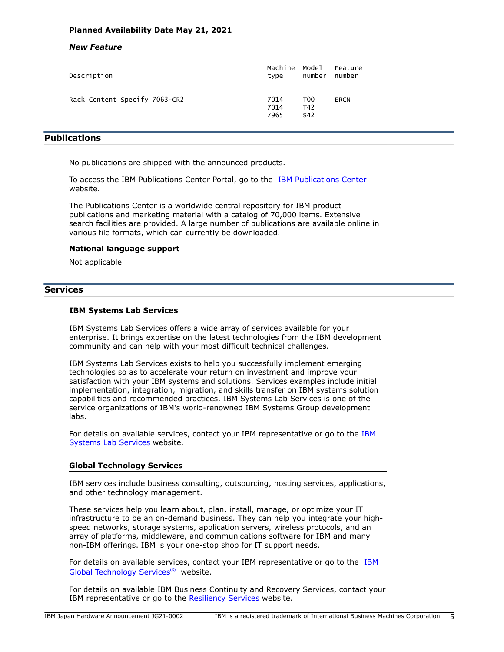# **Planned Availability Date May 21, 2021**

## *New Feature*

| Description                   | Machine              | Model                         | Feature     |
|-------------------------------|----------------------|-------------------------------|-------------|
|                               | type                 | number                        | number      |
| Rack Content Specify 7063-CR2 | 7014<br>7014<br>7965 | T <sub>00</sub><br>T42<br>S42 | <b>ERCN</b> |

# <span id="page-4-0"></span>**Publications**

No publications are shipped with the announced products.

To access the IBM Publications Center Portal, go to the [IBM Publications Center](https://www.ibm.com/resources/publications) website.

The Publications Center is a worldwide central repository for IBM product publications and marketing material with a catalog of 70,000 items. Extensive search facilities are provided. A large number of publications are available online in various file formats, which can currently be downloaded.

# **National language support**

Not applicable

# **Services**

## **IBM Systems Lab Services**

IBM Systems Lab Services offers a wide array of services available for your enterprise. It brings expertise on the latest technologies from the IBM development community and can help with your most difficult technical challenges.

IBM Systems Lab Services exists to help you successfully implement emerging technologies so as to accelerate your return on investment and improve your satisfaction with your IBM systems and solutions. Services examples include initial implementation, integration, migration, and skills transfer on IBM systems solution capabilities and recommended practices. IBM Systems Lab Services is one of the service organizations of IBM's world-renowned IBM Systems Group development labs.

For details on available services, contact your IBM representative or go to the [IBM](https://www.ibm.com/it-infrastructure/services/lab-services) [Systems Lab Services](https://www.ibm.com/it-infrastructure/services/lab-services) website.

# **Global Technology Services**

IBM services include business consulting, outsourcing, hosting services, applications, and other technology management.

These services help you learn about, plan, install, manage, or optimize your IT infrastructure to be an on-demand business. They can help you integrate your highspeed networks, storage systems, application servers, wireless protocols, and an array of platforms, middleware, and communications software for IBM and many non-IBM offerings. IBM is your one-stop shop for IT support needs.

For details on available services, contact your IBM representative or go to the [IBM](http://www.ibm.com/services/) [Global Technology Services](http://www.ibm.com/services/)<sup>(R)</sup> website.

For details on available IBM Business Continuity and Recovery Services, contact your IBM representative or go to the [Resiliency Services](http://www.ibm.com/services/continuity) website.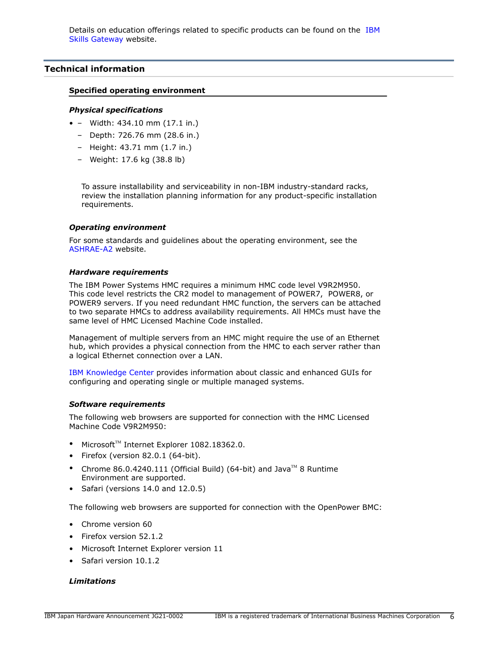# <span id="page-5-0"></span>**Technical information**

## **Specified operating environment**

#### *Physical specifications*

- – Width: 434.10 mm (17.1 in.)
	- Depth: 726.76 mm (28.6 in.)
	- Height: 43.71 mm (1.7 in.)
	- Weight: 17.6 kg (38.8 lb)

To assure installability and serviceability in non-IBM industry-standard racks, review the installation planning information for any product-specific installation requirements.

## *Operating environment*

For some standards and guidelines about the operating environment, see the [ASHRAE-A2](https://www.ashrae.org/standards-research--technology/standards--guidelines) website.

## <span id="page-5-1"></span>*Hardware requirements*

The IBM Power Systems HMC requires a minimum HMC code level V9R2M950. This code level restricts the CR2 model to management of POWER7, POWER8, or POWER9 servers. If you need redundant HMC function, the servers can be attached to two separate HMCs to address availability requirements. All HMCs must have the same level of HMC Licensed Machine Code installed.

Management of multiple servers from an HMC might require the use of an Ethernet hub, which provides a physical connection from the HMC to each server rather than a logical Ethernet connection over a LAN.

[IBM Knowledge Center](https://www.ibm.com/support/knowledgecenter/POWER8/p8ha1/p8ha1_kickoff.htm) provides information about classic and enhanced GUIs for configuring and operating single or multiple managed systems.

# <span id="page-5-2"></span>*Software requirements*

The following web browsers are supported for connection with the HMC Licensed Machine Code V9R2M950:

- $\bullet$  Microsoft<sup>™</sup> Internet Explorer 1082.18362.0.
- Firefox (version 82.0.1 (64-bit).
- Chrome 86.0.4240.111 (Official Build) (64-bit) and Java<sup>TM</sup> 8 Runtime Environment are supported.
- Safari (versions 14.0 and 12.0.5)

The following web browsers are supported for connection with the OpenPower BMC:

- Chrome version 60
- Firefox version 52.1.2
- Microsoft Internet Explorer version 11
- Safari version 10.1.2

# *Limitations*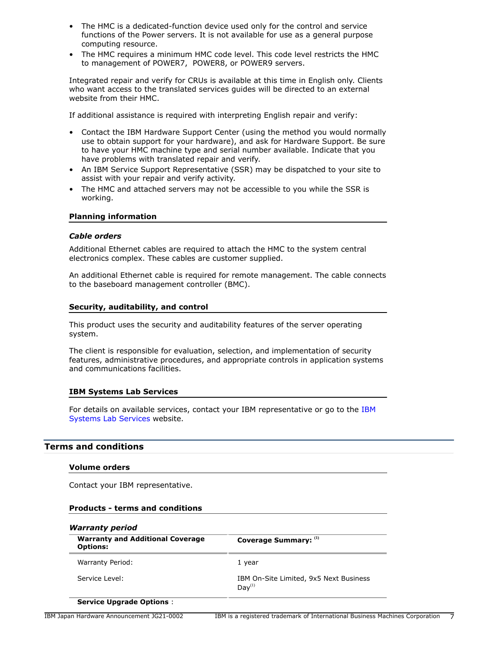- The HMC is a dedicated-function device used only for the control and service functions of the Power servers. It is not available for use as a general purpose computing resource.
- The HMC requires a minimum HMC code level. This code level restricts the HMC to management of POWER7, POWER8, or POWER9 servers.

Integrated repair and verify for CRUs is available at this time in English only. Clients who want access to the translated services guides will be directed to an external website from their HMC.

If additional assistance is required with interpreting English repair and verify:

- Contact the IBM Hardware Support Center (using the method you would normally use to obtain support for your hardware), and ask for Hardware Support. Be sure to have your HMC machine type and serial number available. Indicate that you have problems with translated repair and verify.
- An IBM Service Support Representative (SSR) may be dispatched to your site to assist with your repair and verify activity.
- The HMC and attached servers may not be accessible to you while the SSR is working.

#### **Planning information**

#### *Cable orders*

Additional Ethernet cables are required to attach the HMC to the system central electronics complex. These cables are customer supplied.

An additional Ethernet cable is required for remote management. The cable connects to the baseboard management controller (BMC).

#### **Security, auditability, and control**

This product uses the security and auditability features of the server operating system.

The client is responsible for evaluation, selection, and implementation of security features, administrative procedures, and appropriate controls in application systems and communications facilities.

#### **IBM Systems Lab Services**

For details on available services, contact your IBM representative or go to the [IBM](https://www.ibm.com/it-infrastructure/services/lab-services) [Systems Lab Services](https://www.ibm.com/it-infrastructure/services/lab-services) website.

#### <span id="page-6-0"></span>**Terms and conditions**

#### **Volume orders**

Contact your IBM representative.

#### **Products - terms and conditions**

| <b>Warranty and Additional Coverage</b><br><b>Options:</b> | Coverage Summary: (1)                                        |  |
|------------------------------------------------------------|--------------------------------------------------------------|--|
| Warranty Period:                                           | 1 year                                                       |  |
| Service Level:                                             | IBM On-Site Limited, 9x5 Next Business<br>Day <sup>(1)</sup> |  |

# **Service Upgrade Options** :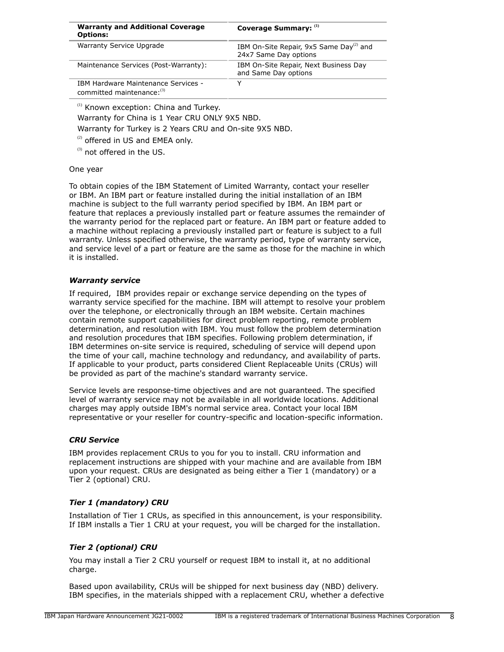| <b>Warranty and Additional Coverage</b><br><b>Options:</b>        | Coverage Summary: (1)                                                        |
|-------------------------------------------------------------------|------------------------------------------------------------------------------|
| Warranty Service Upgrade                                          | IBM On-Site Repair, 9x5 Same Day <sup>(2)</sup> and<br>24x7 Same Day options |
| Maintenance Services (Post-Warranty):                             | IBM On-Site Repair, Next Business Day<br>and Same Day options                |
| IBM Hardware Maintenance Services -<br>committed maintenance: (3) | v                                                                            |

<sup>(1)</sup> Known exception: China and Turkey.

Warranty for China is 1 Year CRU ONLY 9X5 NBD.

Warranty for Turkey is 2 Years CRU and On-site 9X5 NBD.

 $(2)$  offered in US and EMEA only.

(3) not offered in the US.

#### One year

To obtain copies of the IBM Statement of Limited Warranty, contact your reseller or IBM. An IBM part or feature installed during the initial installation of an IBM machine is subject to the full warranty period specified by IBM. An IBM part or feature that replaces a previously installed part or feature assumes the remainder of the warranty period for the replaced part or feature. An IBM part or feature added to a machine without replacing a previously installed part or feature is subject to a full warranty. Unless specified otherwise, the warranty period, type of warranty service, and service level of a part or feature are the same as those for the machine in which it is installed.

## *Warranty service*

If required, IBM provides repair or exchange service depending on the types of warranty service specified for the machine. IBM will attempt to resolve your problem over the telephone, or electronically through an IBM website. Certain machines contain remote support capabilities for direct problem reporting, remote problem determination, and resolution with IBM. You must follow the problem determination and resolution procedures that IBM specifies. Following problem determination, if IBM determines on-site service is required, scheduling of service will depend upon the time of your call, machine technology and redundancy, and availability of parts. If applicable to your product, parts considered Client Replaceable Units (CRUs) will be provided as part of the machine's standard warranty service.

Service levels are response-time objectives and are not guaranteed. The specified level of warranty service may not be available in all worldwide locations. Additional charges may apply outside IBM's normal service area. Contact your local IBM representative or your reseller for country-specific and location-specific information.

# *CRU Service*

IBM provides replacement CRUs to you for you to install. CRU information and replacement instructions are shipped with your machine and are available from IBM upon your request. CRUs are designated as being either a Tier 1 (mandatory) or a Tier 2 (optional) CRU.

# *Tier 1 (mandatory) CRU*

Installation of Tier 1 CRUs, as specified in this announcement, is your responsibility. If IBM installs a Tier 1 CRU at your request, you will be charged for the installation.

# *Tier 2 (optional) CRU*

You may install a Tier 2 CRU yourself or request IBM to install it, at no additional charge.

Based upon availability, CRUs will be shipped for next business day (NBD) delivery. IBM specifies, in the materials shipped with a replacement CRU, whether a defective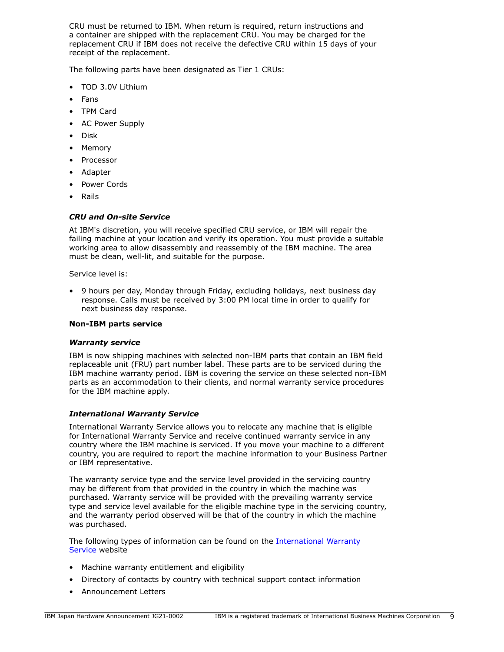CRU must be returned to IBM. When return is required, return instructions and a container are shipped with the replacement CRU. You may be charged for the replacement CRU if IBM does not receive the defective CRU within 15 days of your receipt of the replacement.

The following parts have been designated as Tier 1 CRUs:

- TOD 3.0V Lithium
- Fans
- TPM Card
- AC Power Supply
- Disk
- Memory
- Processor
- Adapter
- Power Cords
- Rails

# *CRU and On-site Service*

At IBM's discretion, you will receive specified CRU service, or IBM will repair the failing machine at your location and verify its operation. You must provide a suitable working area to allow disassembly and reassembly of the IBM machine. The area must be clean, well-lit, and suitable for the purpose.

Service level is:

• 9 hours per day, Monday through Friday, excluding holidays, next business day response. Calls must be received by 3:00 PM local time in order to qualify for next business day response.

# **Non-IBM parts service**

# *Warranty service*

IBM is now shipping machines with selected non-IBM parts that contain an IBM field replaceable unit (FRU) part number label. These parts are to be serviced during the IBM machine warranty period. IBM is covering the service on these selected non-IBM parts as an accommodation to their clients, and normal warranty service procedures for the IBM machine apply.

# *International Warranty Service*

International Warranty Service allows you to relocate any machine that is eligible for International Warranty Service and receive continued warranty service in any country where the IBM machine is serviced. If you move your machine to a different country, you are required to report the machine information to your Business Partner or IBM representative.

The warranty service type and the service level provided in the servicing country may be different from that provided in the country in which the machine was purchased. Warranty service will be provided with the prevailing warranty service type and service level available for the eligible machine type in the servicing country, and the warranty period observed will be that of the country in which the machine was purchased.

The following types of information can be found on the [International Warranty](https://www.ibm.com/systems/support/machine_warranties/iws.html) [Service](https://www.ibm.com/systems/support/machine_warranties/iws.html) website

- Machine warranty entitlement and eligibility
- Directory of contacts by country with technical support contact information
- Announcement Letters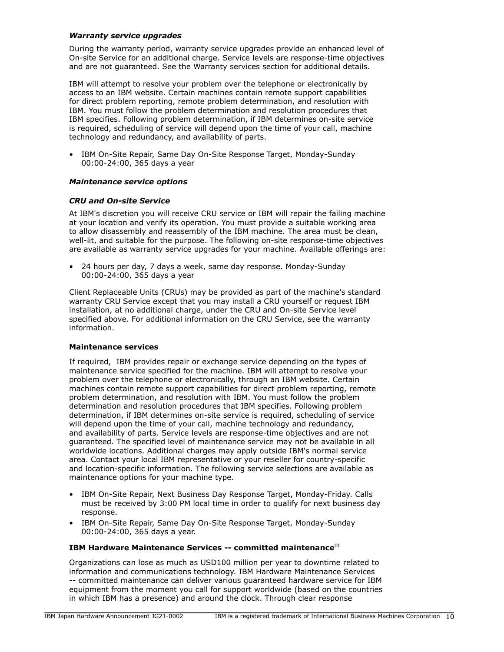# *Warranty service upgrades*

During the warranty period, warranty service upgrades provide an enhanced level of On-site Service for an additional charge. Service levels are response-time objectives and are not guaranteed. See the Warranty services section for additional details.

IBM will attempt to resolve your problem over the telephone or electronically by access to an IBM website. Certain machines contain remote support capabilities for direct problem reporting, remote problem determination, and resolution with IBM. You must follow the problem determination and resolution procedures that IBM specifies. Following problem determination, if IBM determines on-site service is required, scheduling of service will depend upon the time of your call, machine technology and redundancy, and availability of parts.

• IBM On-Site Repair, Same Day On-Site Response Target, Monday-Sunday 00:00-24:00, 365 days a year

## *Maintenance service options*

## *CRU and On-site Service*

At IBM's discretion you will receive CRU service or IBM will repair the failing machine at your location and verify its operation. You must provide a suitable working area to allow disassembly and reassembly of the IBM machine. The area must be clean, well-lit, and suitable for the purpose. The following on-site response-time objectives are available as warranty service upgrades for your machine. Available offerings are:

• 24 hours per day, 7 days a week, same day response. Monday-Sunday 00:00-24:00, 365 days a year

Client Replaceable Units (CRUs) may be provided as part of the machine's standard warranty CRU Service except that you may install a CRU yourself or request IBM installation, at no additional charge, under the CRU and On-site Service level specified above. For additional information on the CRU Service, see the warranty information.

#### **Maintenance services**

If required, IBM provides repair or exchange service depending on the types of maintenance service specified for the machine. IBM will attempt to resolve your problem over the telephone or electronically, through an IBM website. Certain machines contain remote support capabilities for direct problem reporting, remote problem determination, and resolution with IBM. You must follow the problem determination and resolution procedures that IBM specifies. Following problem determination, if IBM determines on-site service is required, scheduling of service will depend upon the time of your call, machine technology and redundancy, and availability of parts. Service levels are response-time objectives and are not guaranteed. The specified level of maintenance service may not be available in all worldwide locations. Additional charges may apply outside IBM's normal service area. Contact your local IBM representative or your reseller for country-specific and location-specific information. The following service selections are available as maintenance options for your machine type.

- IBM On-Site Repair, Next Business Day Response Target, Monday-Friday. Calls must be received by 3:00 PM local time in order to qualify for next business day response.
- IBM On-Site Repair, Same Day On-Site Response Target, Monday-Sunday 00:00-24:00, 365 days a year.

## **IBM Hardware Maintenance Services -- committed maintenance(1)**

Organizations can lose as much as USD100 million per year to downtime related to information and communications technology. IBM Hardware Maintenance Services -- committed maintenance can deliver various guaranteed hardware service for IBM equipment from the moment you call for support worldwide (based on the countries in which IBM has a presence) and around the clock. Through clear response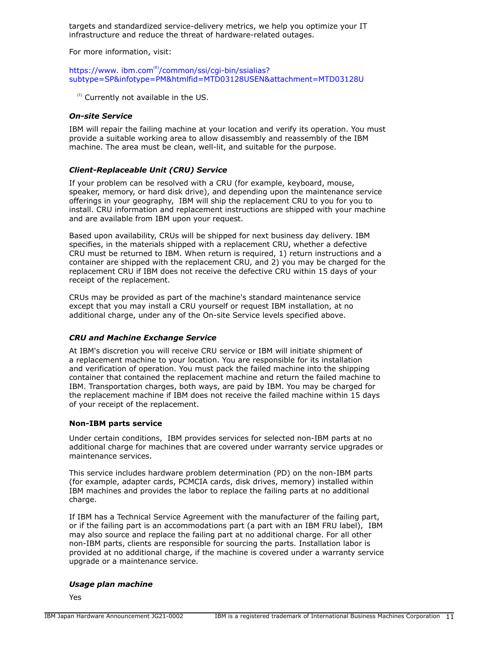targets and standardized service-delivery metrics, we help you optimize your IT infrastructure and reduce the threat of hardware-related outages.

For more information, visit:

## https://www.ibm.com®[/common/ssi/cgi-bin/ssialias?](https://www.ibm.com/common/ssi/cgi-bin/ssialias?subtype=SP&infotype=PM&htmlfid=MTD03128USEN&attachment=MTD03128U) [subtype=SP&infotype=PM&htmlfid=MTD03128USEN&attachment=MTD03128U](https://www.ibm.com/common/ssi/cgi-bin/ssialias?subtype=SP&infotype=PM&htmlfid=MTD03128USEN&attachment=MTD03128U)

 $<sup>(1)</sup>$  Currently not available in the US.</sup>

## *On-site Service*

IBM will repair the failing machine at your location and verify its operation. You must provide a suitable working area to allow disassembly and reassembly of the IBM machine. The area must be clean, well-lit, and suitable for the purpose.

## *Client-Replaceable Unit (CRU) Service*

If your problem can be resolved with a CRU (for example, keyboard, mouse, speaker, memory, or hard disk drive), and depending upon the maintenance service offerings in your geography, IBM will ship the replacement CRU to you for you to install. CRU information and replacement instructions are shipped with your machine and are available from IBM upon your request.

Based upon availability, CRUs will be shipped for next business day delivery. IBM specifies, in the materials shipped with a replacement CRU, whether a defective CRU must be returned to IBM. When return is required, 1) return instructions and a container are shipped with the replacement CRU, and 2) you may be charged for the replacement CRU if IBM does not receive the defective CRU within 15 days of your receipt of the replacement.

CRUs may be provided as part of the machine's standard maintenance service except that you may install a CRU yourself or request IBM installation, at no additional charge, under any of the On-site Service levels specified above.

# *CRU and Machine Exchange Service*

At IBM's discretion you will receive CRU service or IBM will initiate shipment of a replacement machine to your location. You are responsible for its installation and verification of operation. You must pack the failed machine into the shipping container that contained the replacement machine and return the failed machine to IBM. Transportation charges, both ways, are paid by IBM. You may be charged for the replacement machine if IBM does not receive the failed machine within 15 days of your receipt of the replacement.

# **Non-IBM parts service**

Under certain conditions, IBM provides services for selected non-IBM parts at no additional charge for machines that are covered under warranty service upgrades or maintenance services.

This service includes hardware problem determination (PD) on the non-IBM parts (for example, adapter cards, PCMCIA cards, disk drives, memory) installed within IBM machines and provides the labor to replace the failing parts at no additional charge.

If IBM has a Technical Service Agreement with the manufacturer of the failing part, or if the failing part is an accommodations part (a part with an IBM FRU label), IBM may also source and replace the failing part at no additional charge. For all other non-IBM parts, clients are responsible for sourcing the parts. Installation labor is provided at no additional charge, if the machine is covered under a warranty service upgrade or a maintenance service.

#### *Usage plan machine*

Yes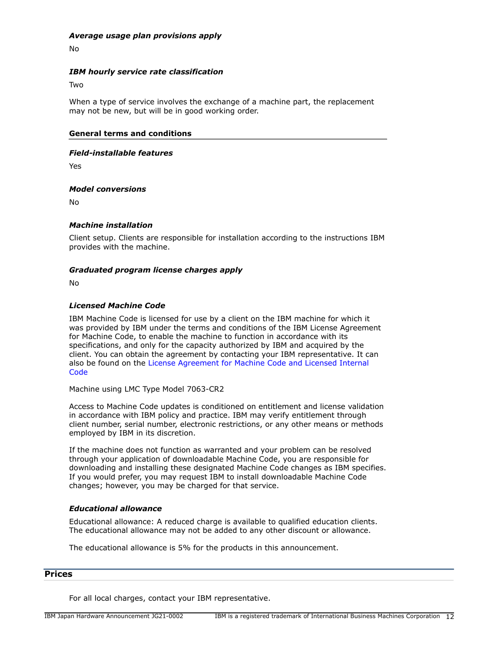## *Average usage plan provisions apply*

No

# *IBM hourly service rate classification*

**Two** 

When a type of service involves the exchange of a machine part, the replacement may not be new, but will be in good working order.

## **General terms and conditions**

#### *Field-installable features*

Yes

## *Model conversions*

No

# *Machine installation*

Client setup. Clients are responsible for installation according to the instructions IBM provides with the machine.

## *Graduated program license charges apply*

No

## *Licensed Machine Code*

IBM Machine Code is licensed for use by a client on the IBM machine for which it was provided by IBM under the terms and conditions of the IBM License Agreement for Machine Code, to enable the machine to function in accordance with its specifications, and only for the capacity authorized by IBM and acquired by the client. You can obtain the agreement by contacting your IBM representative. It can also be found on the [License Agreement for Machine Code and Licensed Internal](http://www.ibm.com/systems/support/machine_warranties/machine_code.html) **[Code](http://www.ibm.com/systems/support/machine_warranties/machine_code.html)** 

Machine using LMC Type Model 7063-CR2

Access to Machine Code updates is conditioned on entitlement and license validation in accordance with IBM policy and practice. IBM may verify entitlement through client number, serial number, electronic restrictions, or any other means or methods employed by IBM in its discretion.

If the machine does not function as warranted and your problem can be resolved through your application of downloadable Machine Code, you are responsible for downloading and installing these designated Machine Code changes as IBM specifies. If you would prefer, you may request IBM to install downloadable Machine Code changes; however, you may be charged for that service.

# *Educational allowance*

Educational allowance: A reduced charge is available to qualified education clients. The educational allowance may not be added to any other discount or allowance.

The educational allowance is 5% for the products in this announcement.

## <span id="page-11-0"></span>**Prices**

For all local charges, contact your IBM representative.